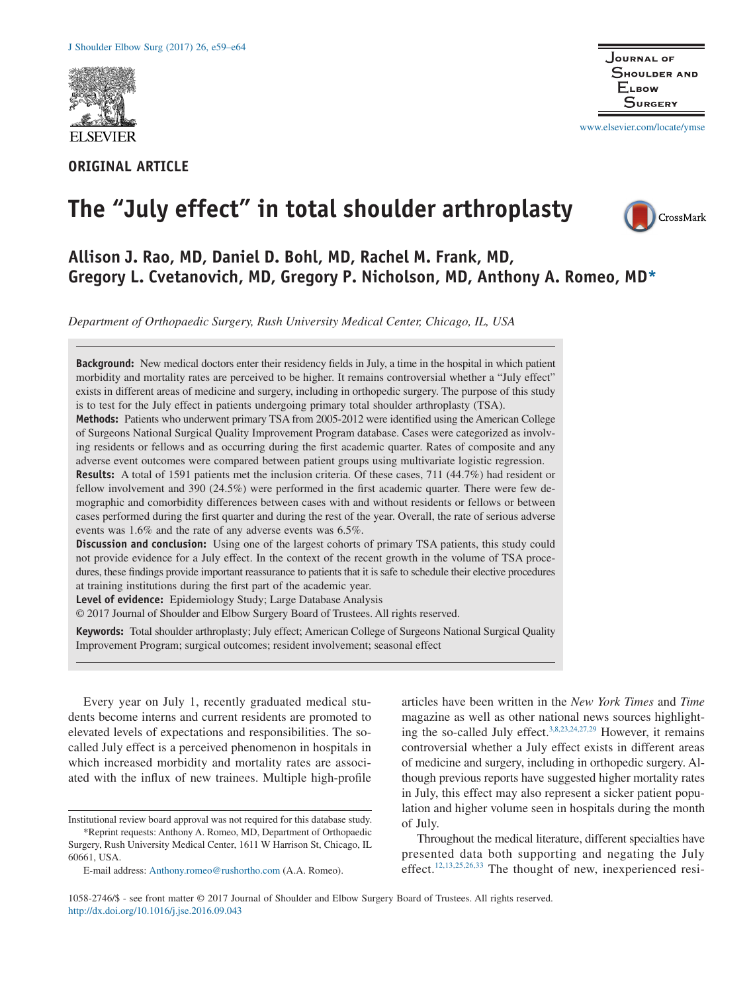

# **ORIGINAL ARTICLE**



www.elsevier.com/locate/ymse

# **The "July effect" in total shoulder arthroplasty**



# **Allison J. Rao, MD, Daniel D. Bohl, MD, Rachel M. Frank, MD, Gregory L. Cvetanovich, MD, Gregory P. Nicholson, MD, Anthony A. Romeo, MD\***

*Department of Orthopaedic Surgery, Rush University Medical Center, Chicago, IL, USA*

**Background:** New medical doctors enter their residency fields in July, a time in the hospital in which patient morbidity and mortality rates are perceived to be higher. It remains controversial whether a "July effect" exists in different areas of medicine and surgery, including in orthopedic surgery. The purpose of this study is to test for the July effect in patients undergoing primary total shoulder arthroplasty (TSA). **Methods:** Patients who underwent primary TSA from 2005-2012 were identified using the American College of Surgeons National Surgical Quality Improvement Program database. Cases were categorized as involving residents or fellows and as occurring during the first academic quarter. Rates of composite and any adverse event outcomes were compared between patient groups using multivariate logistic regression. **Results:** A total of 1591 patients met the inclusion criteria. Of these cases, 711 (44.7%) had resident or fellow involvement and 390 (24.5%) were performed in the first academic quarter. There were few demographic and comorbidity differences between cases with and without residents or fellows or between cases performed during the first quarter and during the rest of the year. Overall, the rate of serious adverse events was 1.6% and the rate of any adverse events was 6.5%. **Discussion and conclusion:** Using one of the largest cohorts of primary TSA patients, this study could not provide evidence for a July effect. In the context of the recent growth in the volume of TSA procedures, these findings provide important reassurance to patients that it is safe to schedule their elective procedures at training institutions during the first part of the academic year. **Level of evidence:** Epidemiology Study; Large Database Analysis © 2017 Journal of Shoulder and Elbow Surgery Board of Trustees. All rights reserved. **Keywords:** Total shoulder arthroplasty; July effect; American College of Surgeons National Surgical Quality Improvement Program; surgical outcomes; resident involvement; seasonal effect

Every year on July 1, recently graduated medical students become interns and current residents are promoted to elevated levels of expectations and responsibilities. The socalled July effect is a perceived phenomenon in hospitals in which increased morbidity and mortality rates are associated with the influx of new trainees. Multiple high-profile

Institutional review board approval was not required for this database study. \*Reprint requests: Anthony A. Romeo, MD, Department of Orthopaedic

Surgery, Rush University Medical Center, 1611 W Harrison St, Chicago, IL 60661, USA.

E-mail address: Anthony.romeo@rushortho.com (A.A. Romeo).

articles have been written in the *New York Times* and *Time* magazine as well as other national news sources highlighting the so-called July effect. $3,8,23,24,27,29$  However, it remains controversial whether a July effect exists in different areas of medicine and surgery, including in orthopedic surgery. Although previous reports have suggested higher mortality rates in July, this effect may also represent a sicker patient population and higher volume seen in hospitals during the month of July.

Throughout the medical literature, different specialties have presented data both supporting and negating the July effect.<sup>12,13,25,26,33</sup> The thought of new, inexperienced resi-

1058-2746/\$ - see front matter © 2017 Journal of Shoulder and Elbow Surgery Board of Trustees. All rights reserved. http://dx.doi.org/10.1016/j.jse.2016.09.043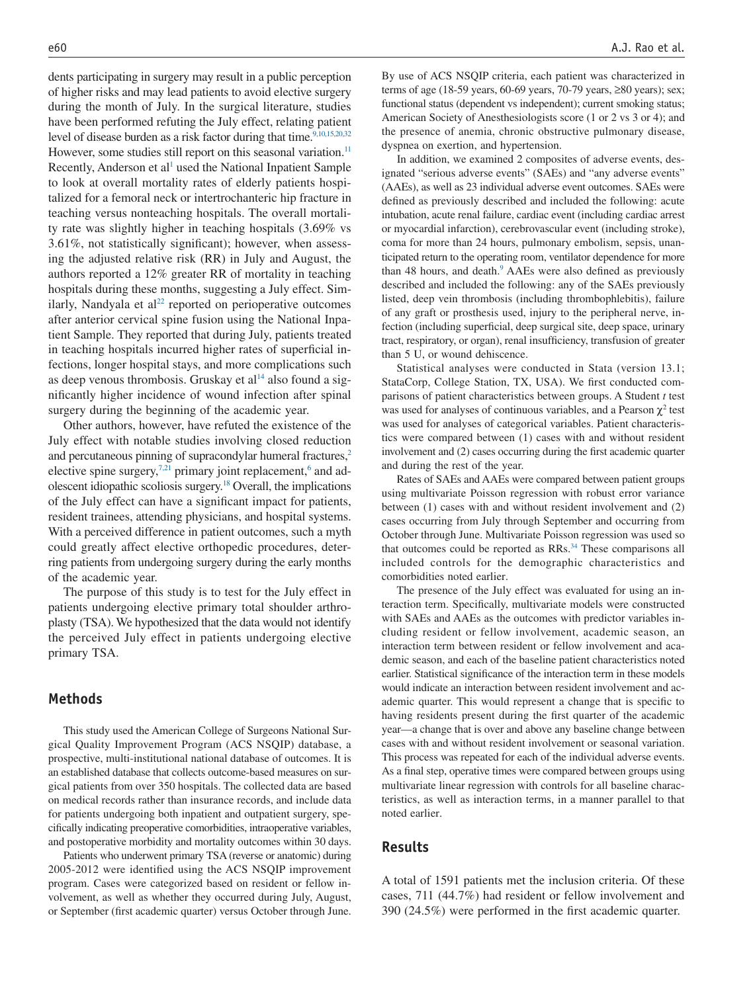dents participating in surgery may result in a public perception of higher risks and may lead patients to avoid elective surgery during the month of July. In the surgical literature, studies have been performed refuting the July effect, relating patient level of disease burden as a risk factor during that time.<sup>9,10,15,20,32</sup> However, some studies still report on this seasonal variation.<sup>11</sup> Recently, Anderson et al<sup>1</sup> used the National Inpatient Sample to look at overall mortality rates of elderly patients hospitalized for a femoral neck or intertrochanteric hip fracture in teaching versus nonteaching hospitals. The overall mortality rate was slightly higher in teaching hospitals (3.69% vs 3.61%, not statistically significant); however, when assessing the adjusted relative risk (RR) in July and August, the authors reported a 12% greater RR of mortality in teaching hospitals during these months, suggesting a July effect. Similarly, Nandyala et al $^{22}$  reported on perioperative outcomes after anterior cervical spine fusion using the National Inpatient Sample. They reported that during July, patients treated in teaching hospitals incurred higher rates of superficial infections, longer hospital stays, and more complications such as deep venous thrombosis. Gruskay et  $al<sup>14</sup>$  also found a significantly higher incidence of wound infection after spinal surgery during the beginning of the academic year.

Other authors, however, have refuted the existence of the July effect with notable studies involving closed reduction and percutaneous pinning of supracondylar humeral fractures, $2$ elective spine surgery,<sup>7,21</sup> primary joint replacement, $6$  and adolescent idiopathic scoliosis surgery.18 Overall, the implications of the July effect can have a significant impact for patients, resident trainees, attending physicians, and hospital systems. With a perceived difference in patient outcomes, such a myth could greatly affect elective orthopedic procedures, deterring patients from undergoing surgery during the early months of the academic year.

The purpose of this study is to test for the July effect in patients undergoing elective primary total shoulder arthroplasty (TSA). We hypothesized that the data would not identify the perceived July effect in patients undergoing elective primary TSA.

## **Methods**

This study used the American College of Surgeons National Surgical Quality Improvement Program (ACS NSQIP) database, a prospective, multi-institutional national database of outcomes. It is an established database that collects outcome-based measures on surgical patients from over 350 hospitals. The collected data are based on medical records rather than insurance records, and include data for patients undergoing both inpatient and outpatient surgery, specifically indicating preoperative comorbidities, intraoperative variables, and postoperative morbidity and mortality outcomes within 30 days.

Patients who underwent primary TSA (reverse or anatomic) during 2005-2012 were identified using the ACS NSQIP improvement program. Cases were categorized based on resident or fellow involvement, as well as whether they occurred during July, August, or September (first academic quarter) versus October through June. By use of ACS NSQIP criteria, each patient was characterized in terms of age (18-59 years, 60-69 years, 70-79 years, ≥80 years); sex; functional status (dependent vs independent); current smoking status; American Society of Anesthesiologists score (1 or 2 vs 3 or 4); and the presence of anemia, chronic obstructive pulmonary disease, dyspnea on exertion, and hypertension.

In addition, we examined 2 composites of adverse events, designated "serious adverse events" (SAEs) and "any adverse events" (AAEs), as well as 23 individual adverse event outcomes. SAEs were defined as previously described and included the following: acute intubation, acute renal failure, cardiac event (including cardiac arrest or myocardial infarction), cerebrovascular event (including stroke), coma for more than 24 hours, pulmonary embolism, sepsis, unanticipated return to the operating room, ventilator dependence for more than 48 hours, and death.<sup>9</sup> AAEs were also defined as previously described and included the following: any of the SAEs previously listed, deep vein thrombosis (including thrombophlebitis), failure of any graft or prosthesis used, injury to the peripheral nerve, infection (including superficial, deep surgical site, deep space, urinary tract, respiratory, or organ), renal insufficiency, transfusion of greater than 5 U, or wound dehiscence.

Statistical analyses were conducted in Stata (version 13.1; StataCorp, College Station, TX, USA). We first conducted comparisons of patient characteristics between groups. A Student *t* test was used for analyses of continuous variables, and a Pearson  $\chi^2$  test was used for analyses of categorical variables. Patient characteristics were compared between (1) cases with and without resident involvement and (2) cases occurring during the first academic quarter and during the rest of the year.

Rates of SAEs and AAEs were compared between patient groups using multivariate Poisson regression with robust error variance between (1) cases with and without resident involvement and (2) cases occurring from July through September and occurring from October through June. Multivariate Poisson regression was used so that outcomes could be reported as  $RRs$ .<sup>34</sup> These comparisons all included controls for the demographic characteristics and comorbidities noted earlier.

The presence of the July effect was evaluated for using an interaction term. Specifically, multivariate models were constructed with SAEs and AAEs as the outcomes with predictor variables including resident or fellow involvement, academic season, an interaction term between resident or fellow involvement and academic season, and each of the baseline patient characteristics noted earlier. Statistical significance of the interaction term in these models would indicate an interaction between resident involvement and academic quarter. This would represent a change that is specific to having residents present during the first quarter of the academic year—a change that is over and above any baseline change between cases with and without resident involvement or seasonal variation. This process was repeated for each of the individual adverse events. As a final step, operative times were compared between groups using multivariate linear regression with controls for all baseline characteristics, as well as interaction terms, in a manner parallel to that noted earlier.

## **Results**

A total of 1591 patients met the inclusion criteria. Of these cases, 711 (44.7%) had resident or fellow involvement and 390 (24.5%) were performed in the first academic quarter.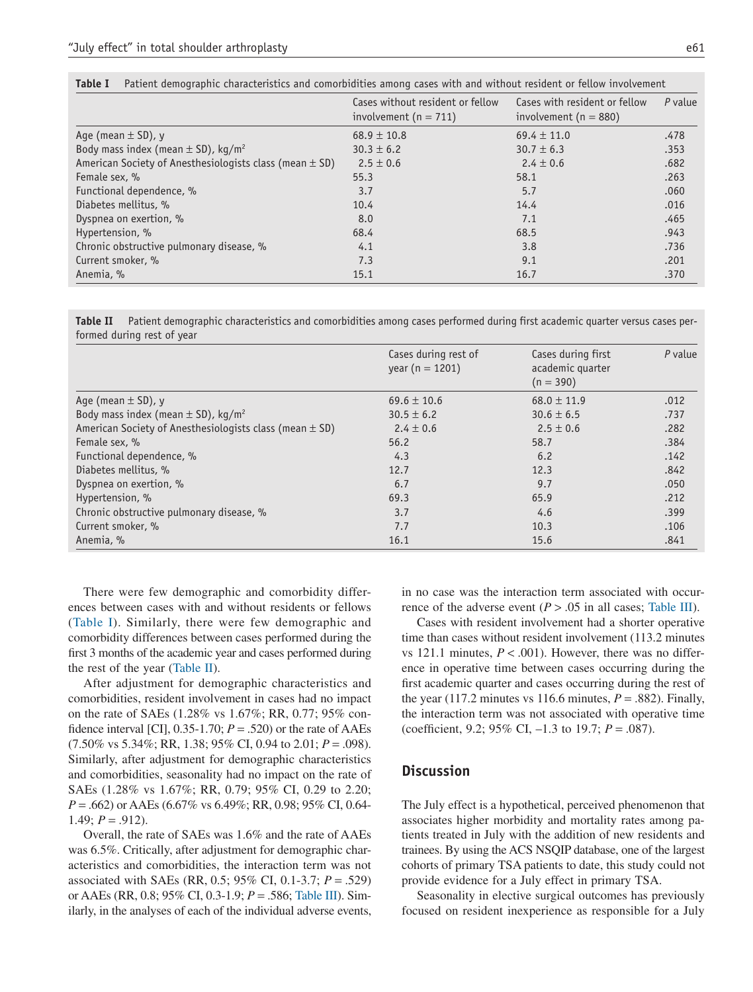| Table I | Patient demographic characteristics and comorbidities among cases with and without resident or fellow involvement . |  |  |  |  |  |
|---------|---------------------------------------------------------------------------------------------------------------------|--|--|--|--|--|
|         |                                                                                                                     |  |  |  |  |  |

|                                                             | Cases without resident or fellow<br>involvement ( $n = 711$ ) | Cases with resident or fellow<br>involvement ( $n = 880$ ) | $P$ value |
|-------------------------------------------------------------|---------------------------------------------------------------|------------------------------------------------------------|-----------|
| Age (mean $\pm$ SD), y                                      | $68.9 \pm 10.8$                                               | $69.4 \pm 11.0$                                            | .478      |
| Body mass index (mean $\pm$ SD), kg/m <sup>2</sup>          | $30.3 \pm 6.2$                                                | $30.7 \pm 6.3$                                             | .353      |
| American Society of Anesthesiologists class (mean $\pm$ SD) | $2.5 \pm 0.6$                                                 | $2.4 \pm 0.6$                                              | .682      |
| Female sex, %                                               | 55.3                                                          | 58.1                                                       | .263      |
| Functional dependence, %                                    | 3.7                                                           | 5.7                                                        | .060      |
| Diabetes mellitus, %                                        | 10.4                                                          | 14.4                                                       | .016      |
| Dyspnea on exertion, %                                      | 8.0                                                           | 7.1                                                        | .465      |
| Hypertension, %                                             | 68.4                                                          | 68.5                                                       | .943      |
| Chronic obstructive pulmonary disease, %                    | 4.1                                                           | 3.8                                                        | .736      |
| Current smoker, %                                           | 7.3                                                           | 9.1                                                        | .201      |
| Anemia, %                                                   | 15.1                                                          | 16.7                                                       | .370      |

**Table II** Patient demographic characteristics and comorbidities among cases performed during first academic quarter versus cases performed during rest of year

|                                                             | Cases during rest of<br>year ( $n = 1201$ ) | Cases during first<br>academic quarter<br>$(n = 390)$ | $P$ value |
|-------------------------------------------------------------|---------------------------------------------|-------------------------------------------------------|-----------|
| Age (mean $\pm$ SD), y                                      | $69.6 \pm 10.6$                             | $68.0 \pm 11.9$                                       | .012      |
| Body mass index (mean $\pm$ SD), kg/m <sup>2</sup>          | $30.5 \pm 6.2$                              | $30.6 \pm 6.5$                                        | .737      |
| American Society of Anesthesiologists class (mean $\pm$ SD) | $2.4 \pm 0.6$                               | $2.5 \pm 0.6$                                         | .282      |
| Female sex, %                                               | 56.2                                        | 58.7                                                  | .384      |
| Functional dependence, %                                    | 4.3                                         | 6.2                                                   | .142      |
| Diabetes mellitus, %                                        | 12.7                                        | 12.3                                                  | .842      |
| Dyspnea on exertion, %                                      | 6.7                                         | 9.7                                                   | .050      |
| Hypertension, %                                             | 69.3                                        | 65.9                                                  | .212      |
| Chronic obstructive pulmonary disease, %                    | 3.7                                         | 4.6                                                   | .399      |
| Current smoker, %                                           | 7.7                                         | 10.3                                                  | .106      |
| Anemia, %                                                   | 16.1                                        | 15.6                                                  | .841      |

There were few demographic and comorbidity differences between cases with and without residents or fellows (Table I). Similarly, there were few demographic and comorbidity differences between cases performed during the first 3 months of the academic year and cases performed during the rest of the year (Table II).

After adjustment for demographic characteristics and comorbidities, resident involvement in cases had no impact on the rate of SAEs (1.28% vs 1.67%; RR, 0.77; 95% confidence interval [CI],  $0.35$ -1.70;  $P = .520$ ) or the rate of AAEs (7.50% vs 5.34%; RR, 1.38; 95% CI, 0.94 to 2.01; *P* = .098). Similarly, after adjustment for demographic characteristics and comorbidities, seasonality had no impact on the rate of SAEs (1.28% vs 1.67%; RR, 0.79; 95% CI, 0.29 to 2.20; *P* = .662) or AAEs (6.67% vs 6.49%; RR, 0.98; 95% CI, 0.64- 1.49;  $P = .912$ ).

Overall, the rate of SAEs was 1.6% and the rate of AAEs was 6.5%. Critically, after adjustment for demographic characteristics and comorbidities, the interaction term was not associated with SAEs (RR, 0.5; 95% CI, 0.1-3.7; *P* = .529) or AAEs (RR, 0.8; 95% CI, 0.3-1.9; *P* = .586; Table III). Similarly, in the analyses of each of the individual adverse events,

in no case was the interaction term associated with occurrence of the adverse event  $(P > .05$  in all cases; Table III).

Cases with resident involvement had a shorter operative time than cases without resident involvement (113.2 minutes vs 121.1 minutes,  $P < .001$ ). However, there was no difference in operative time between cases occurring during the first academic quarter and cases occurring during the rest of the year (117.2 minutes vs 116.6 minutes,  $P = .882$ ). Finally, the interaction term was not associated with operative time (coefficient, 9.2; 95% CI, –1.3 to 19.7; *P* = .087).

# **Discussion**

The July effect is a hypothetical, perceived phenomenon that associates higher morbidity and mortality rates among patients treated in July with the addition of new residents and trainees. By using the ACS NSQIP database, one of the largest cohorts of primary TSA patients to date, this study could not provide evidence for a July effect in primary TSA.

Seasonality in elective surgical outcomes has previously focused on resident inexperience as responsible for a July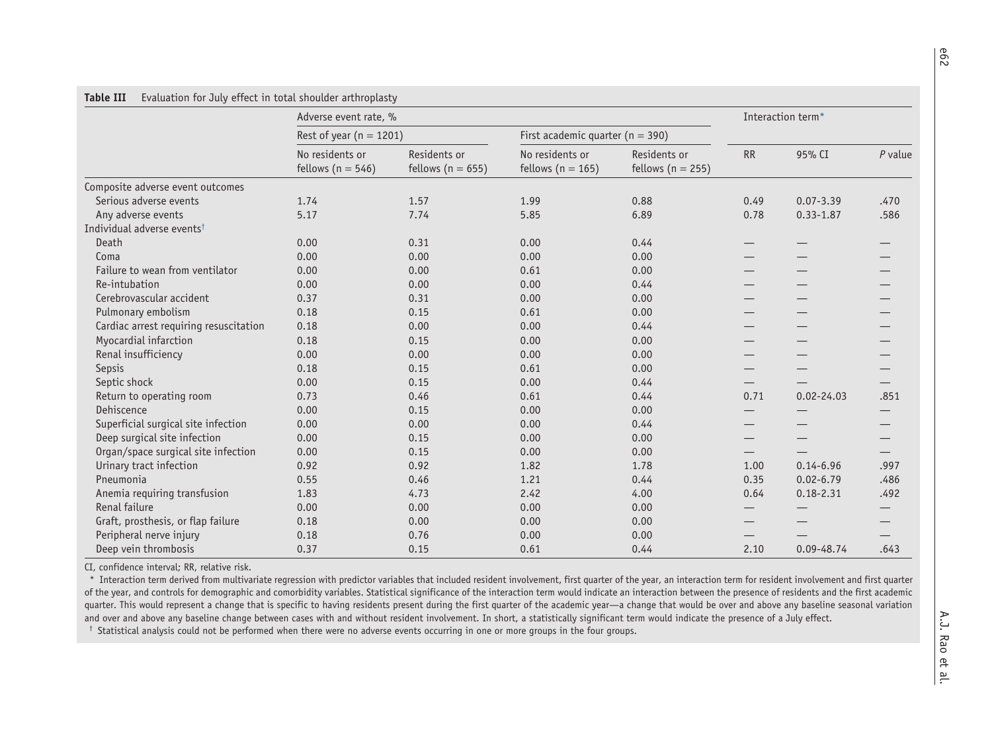|                                        | Adverse event rate, %                    |                                       |                                          |                                       |      | Interaction term* |           |  |  |
|----------------------------------------|------------------------------------------|---------------------------------------|------------------------------------------|---------------------------------------|------|-------------------|-----------|--|--|
|                                        | Rest of year ( $n = 1201$ )              |                                       | First academic quarter ( $n = 390$ )     |                                       |      |                   |           |  |  |
|                                        | No residents or<br>fellows ( $n = 546$ ) | Residents or<br>fellows ( $n = 655$ ) | No residents or<br>fellows ( $n = 165$ ) | Residents or<br>fellows ( $n = 255$ ) | RR   | 95% CI            | $P$ value |  |  |
| Composite adverse event outcomes       |                                          |                                       |                                          |                                       |      |                   |           |  |  |
| Serious adverse events                 | 1.74                                     | 1.57                                  | 1.99                                     | 0.88                                  | 0.49 | $0.07 - 3.39$     | .470      |  |  |
| Any adverse events                     | 5.17                                     | 7.74                                  | 5.85                                     | 6.89                                  | 0.78 | $0.33 - 1.87$     | .586      |  |  |
| Individual adverse events <sup>t</sup> |                                          |                                       |                                          |                                       |      |                   |           |  |  |
| Death                                  | 0.00                                     | 0.31                                  | 0.00                                     | 0.44                                  |      |                   |           |  |  |
| Coma                                   | 0.00                                     | 0.00                                  | 0.00                                     | 0.00                                  |      |                   |           |  |  |
| Failure to wean from ventilator        | 0.00                                     | 0.00                                  | 0.61                                     | 0.00                                  |      |                   |           |  |  |
| Re-intubation                          | 0.00                                     | 0.00                                  | 0.00                                     | 0.44                                  |      |                   |           |  |  |
| Cerebrovascular accident               | 0.37                                     | 0.31                                  | 0.00                                     | 0.00                                  |      |                   |           |  |  |
| Pulmonary embolism                     | 0.18                                     | 0.15                                  | 0.61                                     | 0.00                                  |      |                   |           |  |  |
| Cardiac arrest requiring resuscitation | 0.18                                     | 0.00                                  | 0.00                                     | 0.44                                  |      |                   |           |  |  |
| Myocardial infarction                  | 0.18                                     | 0.15                                  | 0.00                                     | 0.00                                  | —    |                   |           |  |  |
| Renal insufficiency                    | 0.00                                     | 0.00                                  | 0.00                                     | 0.00                                  |      |                   |           |  |  |
| Sepsis                                 | 0.18                                     | 0.15                                  | 0.61                                     | 0.00                                  |      |                   |           |  |  |
| Septic shock                           | 0.00                                     | 0.15                                  | 0.00                                     | 0.44                                  |      |                   |           |  |  |
| Return to operating room               | 0.73                                     | 0.46                                  | 0.61                                     | 0.44                                  | 0.71 | $0.02 - 24.03$    | .851      |  |  |
| Dehiscence                             | 0.00                                     | 0.15                                  | 0.00                                     | 0.00                                  | —    |                   |           |  |  |
| Superficial surgical site infection    | 0.00                                     | 0.00                                  | 0.00                                     | 0.44                                  | —    |                   |           |  |  |
| Deep surgical site infection           | 0.00                                     | 0.15                                  | 0.00                                     | 0.00                                  |      |                   |           |  |  |
| Organ/space surgical site infection    | 0.00                                     | 0.15                                  | 0.00                                     | 0.00                                  | —    |                   |           |  |  |
| Urinary tract infection                | 0.92                                     | 0.92                                  | 1.82                                     | 1.78                                  | 1.00 | $0.14 - 6.96$     | .997      |  |  |
| Pneumonia                              | 0.55                                     | 0.46                                  | 1.21                                     | 0.44                                  | 0.35 | $0.02 - 6.79$     | .486      |  |  |
| Anemia requiring transfusion           | 1.83                                     | 4.73                                  | 2.42                                     | 4.00                                  | 0.64 | $0.18 - 2.31$     | .492      |  |  |
| Renal failure                          | 0.00                                     | 0.00                                  | 0.00                                     | 0.00                                  |      |                   |           |  |  |
| Graft, prosthesis, or flap failure     | 0.18                                     | 0.00                                  | 0.00                                     | 0.00                                  |      |                   |           |  |  |
| Peripheral nerve injury                | 0.18                                     | 0.76                                  | 0.00                                     | 0.00                                  |      |                   |           |  |  |
| Deep vein thrombosis                   | 0.37                                     | 0.15                                  | 0.61                                     | 0.44                                  | 2.10 | 0.09-48.74        | .643      |  |  |

CI, confidence interval; RR, relative risk.

\* Interaction term derived from multivariate regression with predictor variables that included resident involvement, first quarter of the year, an interaction term for resident involvement and first quarter of the year, and controls for demographic and comorbidity variables. Statistical significance of the interaction term would indicate an interaction between the presence of residents and the first academic quarter. This would represent a change that is specific to having residents present during the first quarter of the academic year—a change that would be over and above any baseline seasonal variation and over and above any baseline change between cases with and without resident involvement. In short, <sup>a</sup> statistically significant term would indicate the presence of <sup>a</sup> July effect.

† Statistical analysis could not be performed when there were no adverse events occurring in one or more groups in the four groups.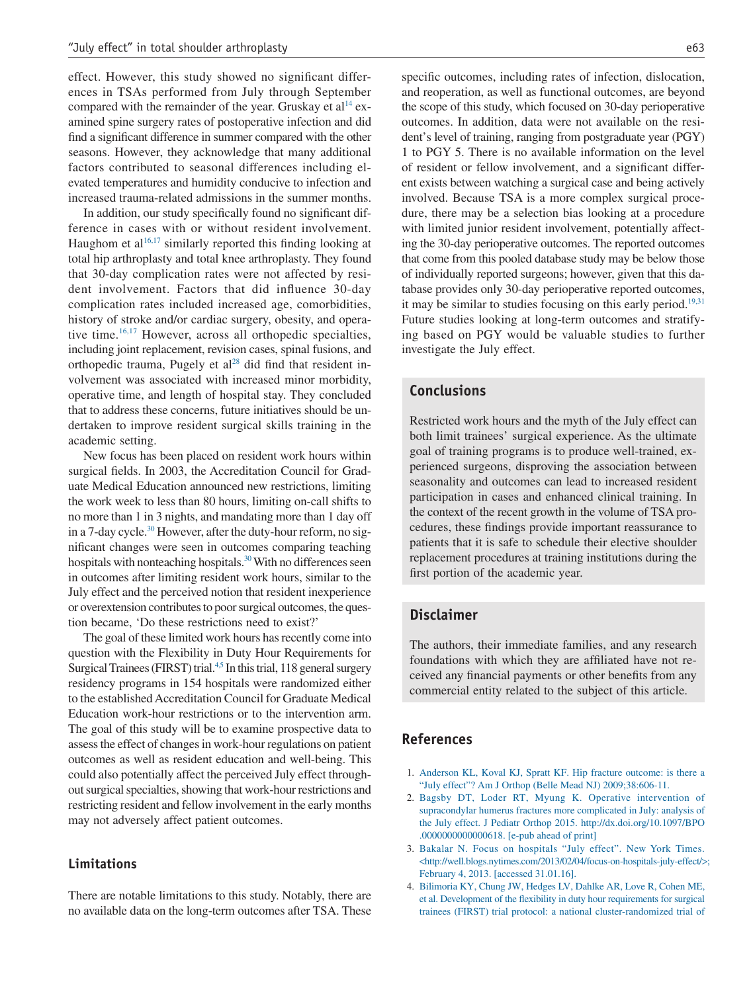effect. However, this study showed no significant differences in TSAs performed from July through September compared with the remainder of the year. Gruskay et  $al<sup>14</sup>$  examined spine surgery rates of postoperative infection and did find a significant difference in summer compared with the other seasons. However, they acknowledge that many additional factors contributed to seasonal differences including elevated temperatures and humidity conducive to infection and increased trauma-related admissions in the summer months.

In addition, our study specifically found no significant difference in cases with or without resident involvement. Haughom et al<sup>16,17</sup> similarly reported this finding looking at total hip arthroplasty and total knee arthroplasty. They found that 30-day complication rates were not affected by resident involvement. Factors that did influence 30-day complication rates included increased age, comorbidities, history of stroke and/or cardiac surgery, obesity, and operative time. $16,17$  However, across all orthopedic specialties, including joint replacement, revision cases, spinal fusions, and orthopedic trauma, Pugely et al<sup>28</sup> did find that resident involvement was associated with increased minor morbidity, operative time, and length of hospital stay. They concluded that to address these concerns, future initiatives should be undertaken to improve resident surgical skills training in the academic setting.

New focus has been placed on resident work hours within surgical fields. In 2003, the Accreditation Council for Graduate Medical Education announced new restrictions, limiting the work week to less than 80 hours, limiting on-call shifts to no more than 1 in 3 nights, and mandating more than 1 day off in a 7-day cycle.<sup>30</sup> However, after the duty-hour reform, no significant changes were seen in outcomes comparing teaching hospitals with nonteaching hospitals.<sup>30</sup> With no differences seen in outcomes after limiting resident work hours, similar to the July effect and the perceived notion that resident inexperience or overextension contributes to poor surgical outcomes, the question became, 'Do these restrictions need to exist?'

The goal of these limited work hours has recently come into question with the Flexibility in Duty Hour Requirements for Surgical Trainees (FIRST) trial.<sup>4,5</sup> In this trial, 118 general surgery residency programs in 154 hospitals were randomized either to the established Accreditation Council for Graduate Medical Education work-hour restrictions or to the intervention arm. The goal of this study will be to examine prospective data to assess the effect of changes in work-hour regulations on patient outcomes as well as resident education and well-being. This could also potentially affect the perceived July effect throughout surgical specialties, showing that work-hour restrictions and restricting resident and fellow involvement in the early months may not adversely affect patient outcomes.

#### **Limitations**

There are notable limitations to this study. Notably, there are no available data on the long-term outcomes after TSA. These specific outcomes, including rates of infection, dislocation, and reoperation, as well as functional outcomes, are beyond the scope of this study, which focused on 30-day perioperative outcomes. In addition, data were not available on the resident's level of training, ranging from postgraduate year (PGY) 1 to PGY 5. There is no available information on the level of resident or fellow involvement, and a significant different exists between watching a surgical case and being actively involved. Because TSA is a more complex surgical procedure, there may be a selection bias looking at a procedure with limited junior resident involvement, potentially affecting the 30-day perioperative outcomes. The reported outcomes that come from this pooled database study may be below those of individually reported surgeons; however, given that this database provides only 30-day perioperative reported outcomes, it may be similar to studies focusing on this early period.<sup>19,31</sup> Future studies looking at long-term outcomes and stratifying based on PGY would be valuable studies to further investigate the July effect.

#### **Conclusions**

Restricted work hours and the myth of the July effect can both limit trainees' surgical experience. As the ultimate goal of training programs is to produce well-trained, experienced surgeons, disproving the association between seasonality and outcomes can lead to increased resident participation in cases and enhanced clinical training. In the context of the recent growth in the volume of TSA procedures, these findings provide important reassurance to patients that it is safe to schedule their elective shoulder replacement procedures at training institutions during the first portion of the academic year.

#### **Disclaimer**

The authors, their immediate families, and any research foundations with which they are affiliated have not received any financial payments or other benefits from any commercial entity related to the subject of this article.

# **References**

- 1. Anderson KL, Koval KJ, Spratt KF. Hip fracture outcome: is there a "July effect"? Am J Orthop (Belle Mead NJ) 2009;38:606-11.
- 2. Bagsby DT, Loder RT, Myung K. Operative intervention of supracondylar humerus fractures more complicated in July: analysis of the July effect. J Pediatr Orthop 2015. http://dx.doi.org/10.1097/BPO .0000000000000618. [e-pub ahead of print]
- 3. Bakalar N. Focus on hospitals "July effect". New York Times. <http://well.blogs.nytimes.com/2013/02/04/focus-on-hospitals-july-effect/>; February 4, 2013. [accessed 31.01.16].
- 4. Bilimoria KY, Chung JW, Hedges LV, Dahlke AR, Love R, Cohen ME, et al. Development of the flexibility in duty hour requirements for surgical trainees (FIRST) trial protocol: a national cluster-randomized trial of